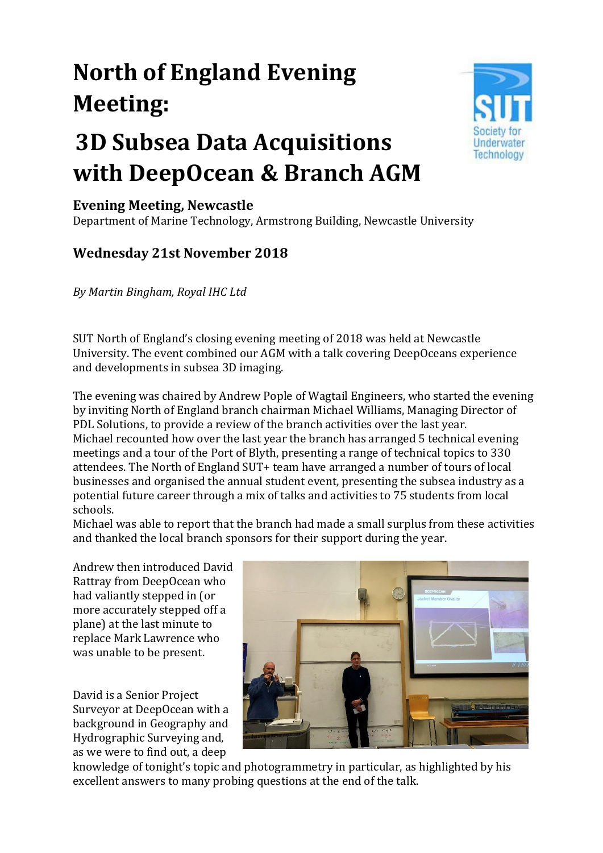## **North of England Evening Meeting:**

## **3D Subsea Data Acquisitions with DeepOcean & Branch AGM**



## **Evening Meeting, Newcastle**

Department of Marine Technology, Armstrong Building, Newcastle University

## **Wednesday 21st November 2018**

*By Martin Bingham, Royal IHC Ltd*

SUT North of England's closing evening meeting of 2018 was held at Newcastle University. The event combined our AGM with a talk covering DeepOceans experience and developments in subsea 3D imaging.

The evening was chaired by Andrew Pople of Wagtail Engineers, who started the evening by inviting North of England branch chairman Michael Williams, Managing Director of PDL Solutions, to provide a review of the branch activities over the last year. Michael recounted how over the last year the branch has arranged 5 technical evening meetings and a tour of the Port of Blyth, presenting a range of technical topics to 330 attendees. The North of England SUT+ team have arranged a number of tours of local businesses and organised the annual student event, presenting the subsea industry as a potential future career through a mix of talks and activities to 75 students from local schools.

Michael was able to report that the branch had made a small surplus from these activities and thanked the local branch sponsors for their support during the year.

Andrew then introduced David Rattray from DeepOcean who had valiantly stepped in (or more accurately stepped off a plane) at the last minute to replace Mark Lawrence who was unable to be present.

David is a Senior Project Surveyor at DeepOcean with a background in Geography and Hydrographic Surveying and, as we were to find out, a deep



knowledge of tonight's topic and photogrammetry in particular, as highlighted by his excellent answers to many probing questions at the end of the talk.